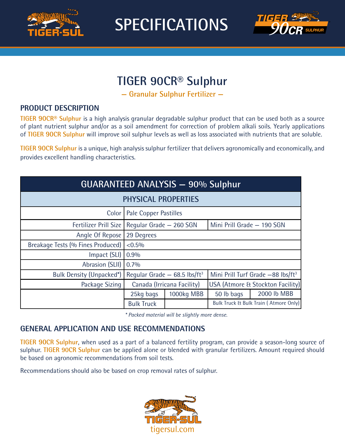

**SPECIFICATIONS**



# **TIGER 90CR® Sulphur**

**— Granular Sulphur Fertilizer —**

### **PRODUCT DESCRIPTION**

**TIGER 90CR® Sulphur** is a high analysis granular degradable sulphur product that can be used both as a source of plant nutrient sulphur and/or as a soil amendment for correction of problem alkali soils. Yearly applications of **TIGER 90CR Sulphur** will improve soil sulphur levels as well as loss associated with nutrients that are soluble.

**TIGER 90CR Sulphur** is a unique, high analysis sulphur fertilizer that delivers agronomically and economically, and provides excellent handling characteristics.

| GUARANTEED ANALYSIS - 90% Sulphur |                                                 |            |                                               |             |
|-----------------------------------|-------------------------------------------------|------------|-----------------------------------------------|-------------|
| <b>PHYSICAL PROPERTIES</b>        |                                                 |            |                                               |             |
| Color                             | Pale Copper Pastilles                           |            |                                               |             |
|                                   | Fertilizer Prill Size   Regular Grade – 260 SGN |            | Mini Prill Grade - 190 SGN                    |             |
| Angle Of Repose                   | 29 Degrees                                      |            |                                               |             |
| Breakage Tests (% Fines Produced) | $< 0.5\%$                                       |            |                                               |             |
| Impact (SLI)                      | 0.9%                                            |            |                                               |             |
| Abrasion (SLII)                   | 0.7%                                            |            |                                               |             |
| Bulk Density (Unpacked*)          | Reqular Grade $-$ 68.5 lbs/ft <sup>3</sup>      |            | Mini Prill Turf Grade -88 lbs/ft <sup>3</sup> |             |
| Package Sizing                    | Canada (Irricana Facility)                      |            | USA (Atmore & Stockton Facility)              |             |
|                                   | 25kg bags                                       | 1000kg MBB | 50 lb bags                                    | 2000 lb MBB |
|                                   | <b>Bulk Truck</b>                               |            | Bulk Truck & Bulk Train (Atmore Only)         |             |

*\* Packed material will be slightly more dense.*

### **GENERAL APPLICATION AND USE RECOMMENDATIONS**

**TIGER 90CR Sulphur**, when used as a part of a balanced fertility program, can provide a season-long source of sulphur. **TIGER 90CR Sulphur** can be applied alone or blended with granular fertilizers. Amount required should be based on agronomic recommendations from soil tests.

Recommendations should also be based on crop removal rates of sulphur.